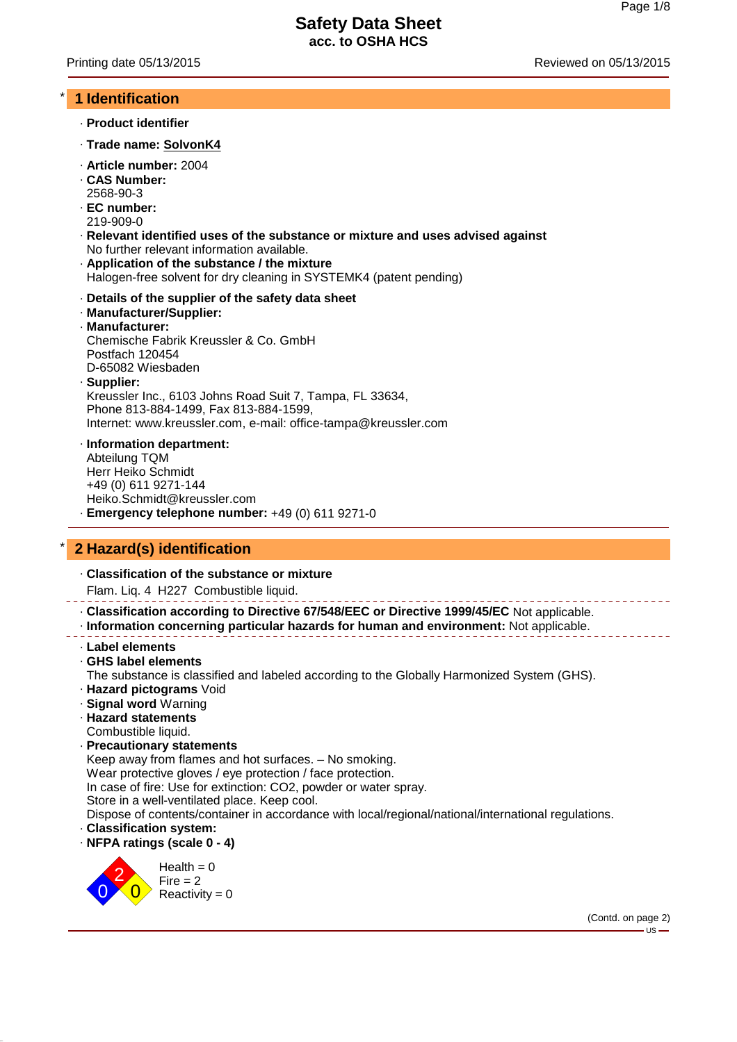### \* **1 Identification**

- · **Product identifier**
- · **Trade name: SolvonK4**
- · **Article number:** 2004
- · **CAS Number:** 2568-90-3
- · **EC number:**
- 219-909-0
- · **Relevant identified uses of the substance or mixture and uses advised against** No further relevant information available.
- · **Application of the substance / the mixture** Halogen-free solvent for dry cleaning in SYSTEMK4 (patent pending)
- · **Details of the supplier of the safety data sheet**
- · **Manufacturer/Supplier:**
- · **Manufacturer:** Chemische Fabrik Kreussler & Co. GmbH Postfach 120454 D-65082 Wiesbaden · **Supplier:**

Kreussler Inc., 6103 Johns Road Suit 7, Tampa, FL 33634, Phone 813-884-1499, Fax 813-884-1599, Internet: www.kreussler.com, e-mail: office-tampa@kreussler.com

· **Information department:**

Abteilung TQM Herr Heiko Schmidt +49 (0) 611 9271-144 Heiko.Schmidt@kreussler.com **Emergency telephone number:** +49 (0) 611 9271-0

# \* **2 Hazard(s) identification**

· **Classification of the substance or mixture**

Flam. Liq. 4 H227 Combustible liquid.

· **Classification according to Directive 67/548/EEC or Directive 1999/45/EC** Not applicable.

- · **Information concerning particular hazards for human and environment:** Not applicable.
- · **Label elements**
- · **GHS label elements**

The substance is classified and labeled according to the Globally Harmonized System (GHS).

- · **Hazard pictograms** Void
- · **Signal word** Warning
- · **Hazard statements**
- Combustible liquid.
- · **Precautionary statements**

Keep away from flames and hot surfaces. – No smoking. Wear protective gloves / eye protection / face protection.

In case of fire: Use for extinction: CO2, powder or water spray.

Store in a well-ventilated place. Keep cool.

Dispose of contents/container in accordance with local/regional/national/international regulations.

- · **Classification system:**
- · **NFPA ratings (scale 0 4)**



(Contd. on page 2)

 $-US -$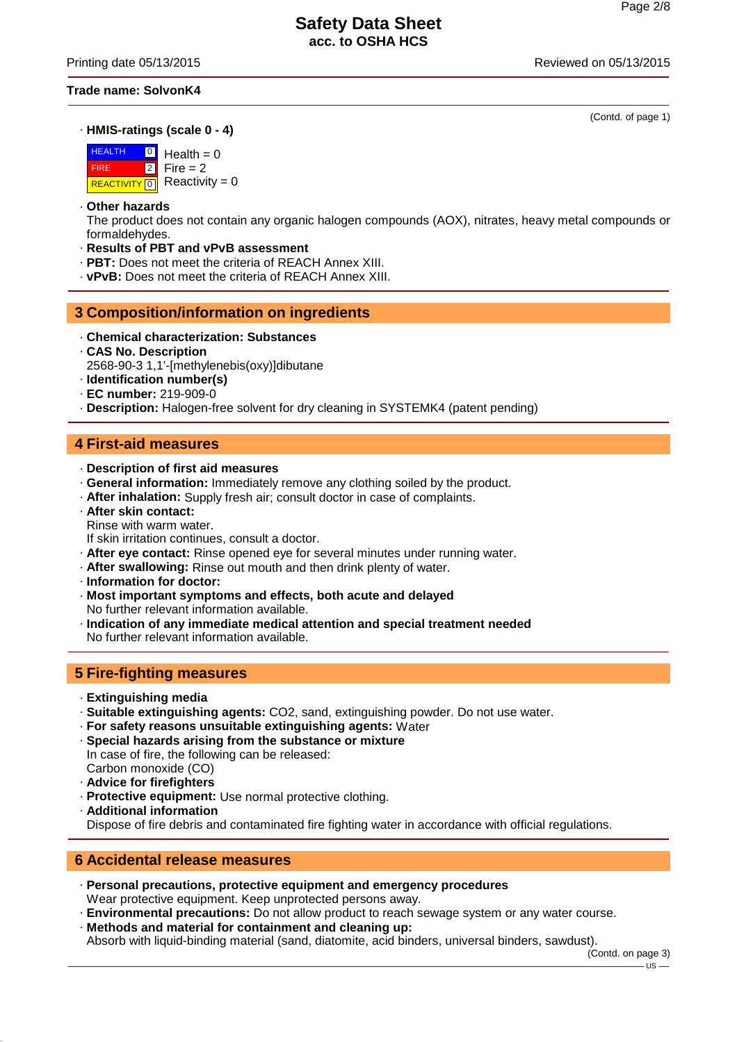Printing date 05/13/2015 Reviewed on 05/13/2015

#### **Trade name: SolvonK4**

· **HMIS-ratings (scale 0 - 4)**

**HEALTH**  FIRE **REACTIVITY** 0  $\boxed{0}$ 2  $Health = 0$  $Fire = 2$  $Reactivity = 0$ 

#### · **Other hazards**

The product does not contain any organic halogen compounds (AOX), nitrates, heavy metal compounds or formaldehydes.

- · **Results of PBT and vPvB assessment**
- · **PBT:** Does not meet the criteria of REACH Annex XIII.
- · **vPvB:** Does not meet the criteria of REACH Annex XIII.

### **3 Composition/information on ingredients**

- · **Chemical characterization: Substances**
- · **CAS No. Description**
- 2568-90-3 1,1'-[methylenebis(oxy)]dibutane
- · **Identification number(s)**
- · **EC number:** 219-909-0
- · **Description:** Halogen-free solvent for dry cleaning in SYSTEMK4 (patent pending)

### **4 First-aid measures**

- · **Description of first aid measures**
- · **General information:** Immediately remove any clothing soiled by the product.
- · **After inhalation:** Supply fresh air; consult doctor in case of complaints.
- · **After skin contact:**
- Rinse with warm water.
- If skin irritation continues, consult a doctor.
- · **After eye contact:** Rinse opened eye for several minutes under running water.
- · **After swallowing:** Rinse out mouth and then drink plenty of water.
- · **Information for doctor:**
- · **Most important symptoms and effects, both acute and delayed** No further relevant information available.
- · **Indication of any immediate medical attention and special treatment needed** No further relevant information available.

# **5 Fire-fighting measures**

- · **Extinguishing media**
- · **Suitable extinguishing agents:** CO2, sand, extinguishing powder. Do not use water.
- · **For safety reasons unsuitable extinguishing agents:** Water
- · **Special hazards arising from the substance or mixture** In case of fire, the following can be released: Carbon monoxide (CO)
- · **Advice for firefighters**
- · **Protective equipment:** Use normal protective clothing.
- · **Additional information**

Dispose of fire debris and contaminated fire fighting water in accordance with official regulations.

# **6 Accidental release measures**

- · **Personal precautions, protective equipment and emergency procedures** Wear protective equipment. Keep unprotected persons away.
- · **Environmental precautions:** Do not allow product to reach sewage system or any water course.
- · **Methods and material for containment and cleaning up:**

Absorb with liquid-binding material (sand, diatomite, acid binders, universal binders, sawdust).

(Contd. on page 3)

(Contd. of page 1)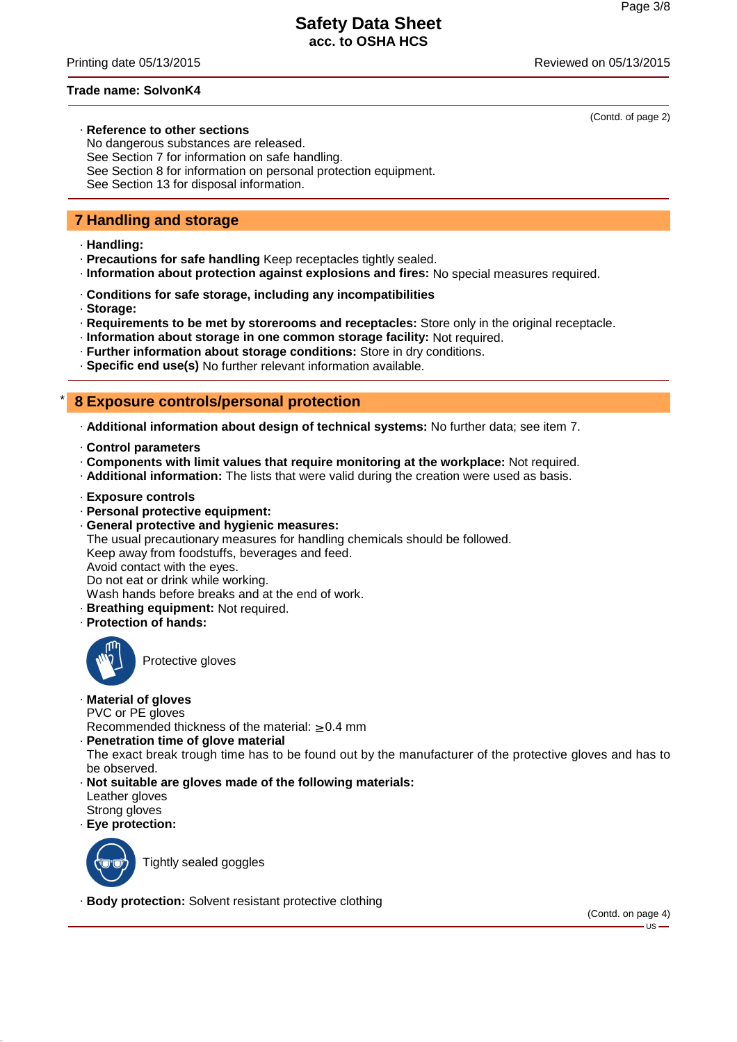Printing date 05/13/2015 Reviewed on 05/13/2015

(Contd. of page 2)

#### **Trade name: SolvonK4**

# · **Reference to other sections**

No dangerous substances are released. See Section 7 for information on safe handling. See Section 8 for information on personal protection equipment. See Section 13 for disposal information.

# **7 Handling and storage**

- · **Handling:**
- · **Precautions for safe handling** Keep receptacles tightly sealed.
- · **Information about protection against explosions and fires:** No special measures required.
- · **Conditions for safe storage, including any incompatibilities**
- · **Storage:**
- · **Requirements to be met by storerooms and receptacles:** Store only in the original receptacle.
- · **Information about storage in one common storage facility:** Not required.
- · **Further information about storage conditions:** Store in dry conditions.
- · **Specific end use(s)** No further relevant information available.

### \* **8 Exposure controls/personal protection**

- · **Additional information about design of technical systems:** No further data; see item 7.
- · **Control parameters**
- · **Components with limit values that require monitoring at the workplace:** Not required.
- · **Additional information:** The lists that were valid during the creation were used as basis.
- · **Exposure controls**
- · **Personal protective equipment:**

· **General protective and hygienic measures:** The usual precautionary measures for handling chemicals should be followed. Keep away from foodstuffs, beverages and feed. Avoid contact with the eyes. Do not eat or drink while working. Wash hands before breaks and at the end of work. · **Breathing equipment:** Not required.

· **Protection of hands:**



Protective gloves

### · **Material of gloves**

PVC or PE gloves

Recommended thickness of the material: ≥ 0.4 mm

· **Penetration time of glove material**

The exact break trough time has to be found out by the manufacturer of the protective gloves and has to be observed.

- · **Not suitable are gloves made of the following materials:** Leather gloves Strong gloves
- · **Eye protection:**



Tightly sealed goggles

· **Body protection:** Solvent resistant protective clothing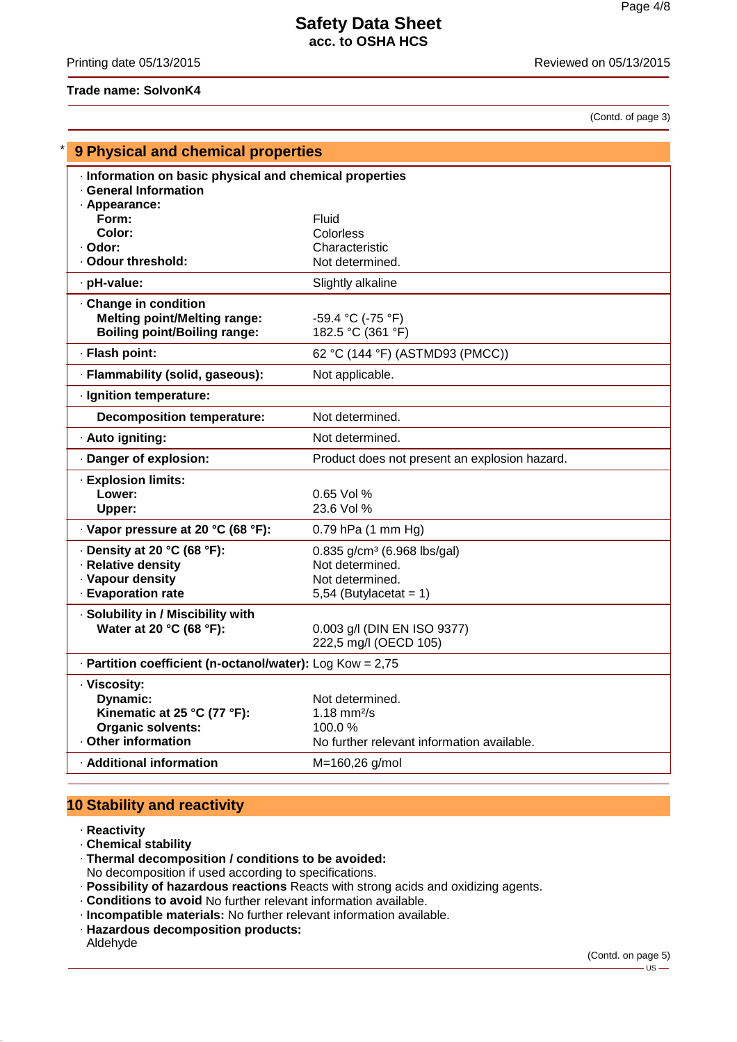### Printing date 05/13/2015 Reviewed on 05/13/2015

### **Trade name: SolvonK4**

(Contd. of page 3)

| <b>9 Physical and chemical properties</b>                   |                                                         |  |  |
|-------------------------------------------------------------|---------------------------------------------------------|--|--|
|                                                             | · Information on basic physical and chemical properties |  |  |
| · General Information<br>· Appearance:                      |                                                         |  |  |
| Form:                                                       | Fluid                                                   |  |  |
| Color:                                                      | Colorless                                               |  |  |
| · Odor:<br>Odour threshold:                                 | Characteristic                                          |  |  |
|                                                             | Not determined.                                         |  |  |
| · pH-value:                                                 | Slightly alkaline                                       |  |  |
| Change in condition<br><b>Melting point/Melting range:</b>  |                                                         |  |  |
| <b>Boiling point/Boiling range:</b>                         | -59.4 °C (-75 °F)<br>182.5 °C (361 °F)                  |  |  |
| · Flash point:                                              | 62 °C (144 °F) (ASTMD93 (PMCC))                         |  |  |
| · Flammability (solid, gaseous):                            | Not applicable.                                         |  |  |
| · Ignition temperature:                                     |                                                         |  |  |
| <b>Decomposition temperature:</b>                           | Not determined.                                         |  |  |
| · Auto igniting:                                            | Not determined.                                         |  |  |
| · Danger of explosion:                                      | Product does not present an explosion hazard.           |  |  |
| · Explosion limits:                                         |                                                         |  |  |
| Lower:                                                      | $0.65$ Vol %                                            |  |  |
| Upper:                                                      | 23.6 Vol %                                              |  |  |
| · Vapor pressure at 20 °C (68 °F):                          | 0.79 hPa (1 mm Hg)                                      |  |  |
| $\cdot$ Density at 20 °C (68 °F):                           | $0.835$ g/cm <sup>3</sup> (6.968 lbs/gal)               |  |  |
| · Relative density<br>· Vapour density                      | Not determined.<br>Not determined.                      |  |  |
| · Evaporation rate                                          | 5,54 (Butylacetat = $1$ )                               |  |  |
| · Solubility in / Miscibility with                          |                                                         |  |  |
| Water at 20 °C (68 °F):                                     | 0.003 g/l (DIN EN ISO 9377)                             |  |  |
|                                                             | 222,5 mg/l (OECD 105)                                   |  |  |
| - Partition coefficient (n-octanol/water): $Log Kow = 2.75$ |                                                         |  |  |
| · Viscosity:                                                |                                                         |  |  |
| <b>Dynamic:</b>                                             | Not determined.                                         |  |  |
| Kinematic at 25 °C (77 °F):<br><b>Organic solvents:</b>     | 1.18 $mm^{2}/s$<br>100.0 $%$                            |  |  |
| · Other information                                         | No further relevant information available.              |  |  |
| · Additional information                                    | M=160,26 g/mol                                          |  |  |
|                                                             |                                                         |  |  |

# **10 Stability and reactivity**

· **Reactivity**

· **Chemical stability**

· **Thermal decomposition / conditions to be avoided:**

No decomposition if used according to specifications.

- · **Possibility of hazardous reactions** Reacts with strong acids and oxidizing agents.
- · **Conditions to avoid** No further relevant information available.
- · **Incompatible materials:** No further relevant information available.
- · **Hazardous decomposition products:**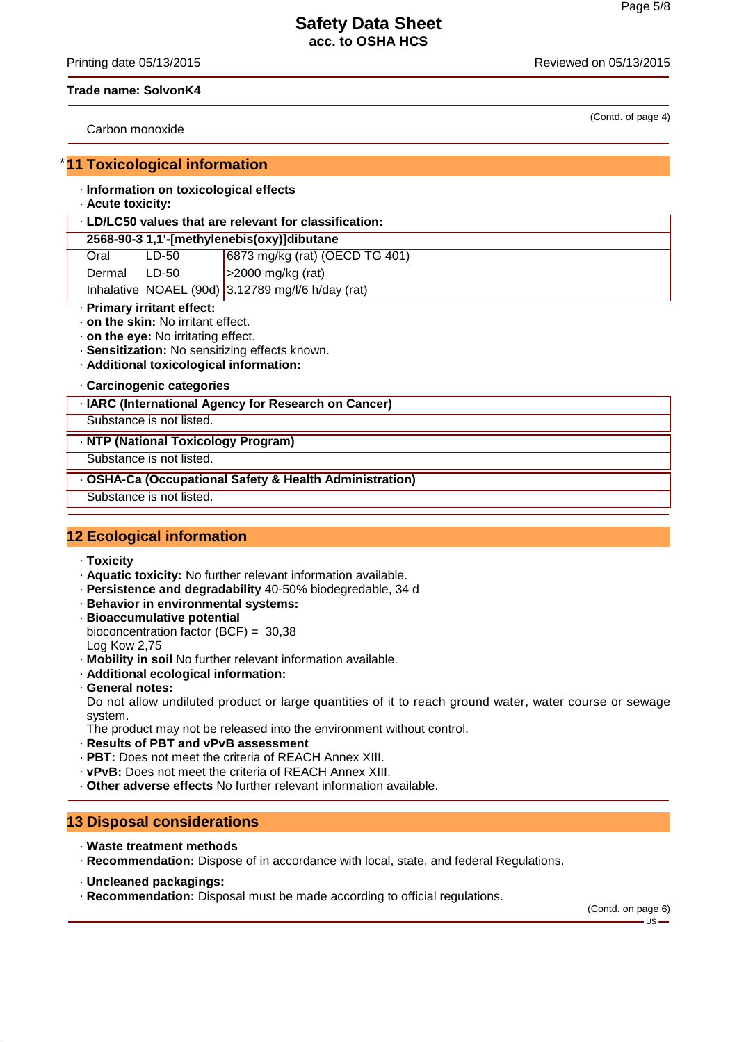Printing date 05/13/2015 Reviewed on 05/13/2015

(Contd. of page 4)

#### **Trade name: SolvonK4**

Carbon monoxide

### **11 Toxicological information**

### · **Information on toxicological effects**

· **Acute toxicity:**

| . LD/LC50 values that are relevant for classification: |         |                                                   |  |  |
|--------------------------------------------------------|---------|---------------------------------------------------|--|--|
| 2568-90-3 1,1'-[methylenebis(oxy)]dibutane             |         |                                                   |  |  |
| Oral                                                   | LD-50   | 6873 mg/kg (rat) (OECD TG 401)                    |  |  |
| Dermal                                                 | $LD-50$ | >2000 mg/kg (rat)                                 |  |  |
|                                                        |         | Inhalative NOAEL (90d) 3.12789 mg/l/6 h/day (rat) |  |  |

- · **Primary irritant effect:**
- · **on the skin:** No irritant effect.
- · **on the eye:** No irritating effect.
- · **Sensitization:** No sensitizing effects known.
- · **Additional toxicological information:**
- · **Carcinogenic categories**

#### · **IARC (International Agency for Research on Cancer)**

Substance is not listed.

#### · **NTP (National Toxicology Program)**

Substance is not listed.

### · **OSHA-Ca (Occupational Safety & Health Administration)**

Substance is not listed.

# **12 Ecological information**

- · **Toxicity**
- · **Aquatic toxicity:** No further relevant information available.
- · **Persistence and degradability** 40-50% biodegredable, 34 d
- · **Behavior in environmental systems:**
- · **Bioaccumulative potential** bioconcentration factor (BCF) = 30,38 Log Kow 2,75
- · **Mobility in soil** No further relevant information available.
- · **Additional ecological information:**
- · **General notes:**

Do not allow undiluted product or large quantities of it to reach ground water, water course or sewage system.

The product may not be released into the environment without control.

- · **Results of PBT and vPvB assessment**
- · **PBT:** Does not meet the criteria of REACH Annex XIII.
- · **vPvB:** Does not meet the criteria of REACH Annex XIII.
- · **Other adverse effects** No further relevant information available.

### **13 Disposal considerations**

- · **Waste treatment methods**
- · **Recommendation:** Dispose of in accordance with local, state, and federal Regulations.
- · **Uncleaned packagings:**
- · **Recommendation:** Disposal must be made according to official regulations.

(Contd. on page 6) - US ·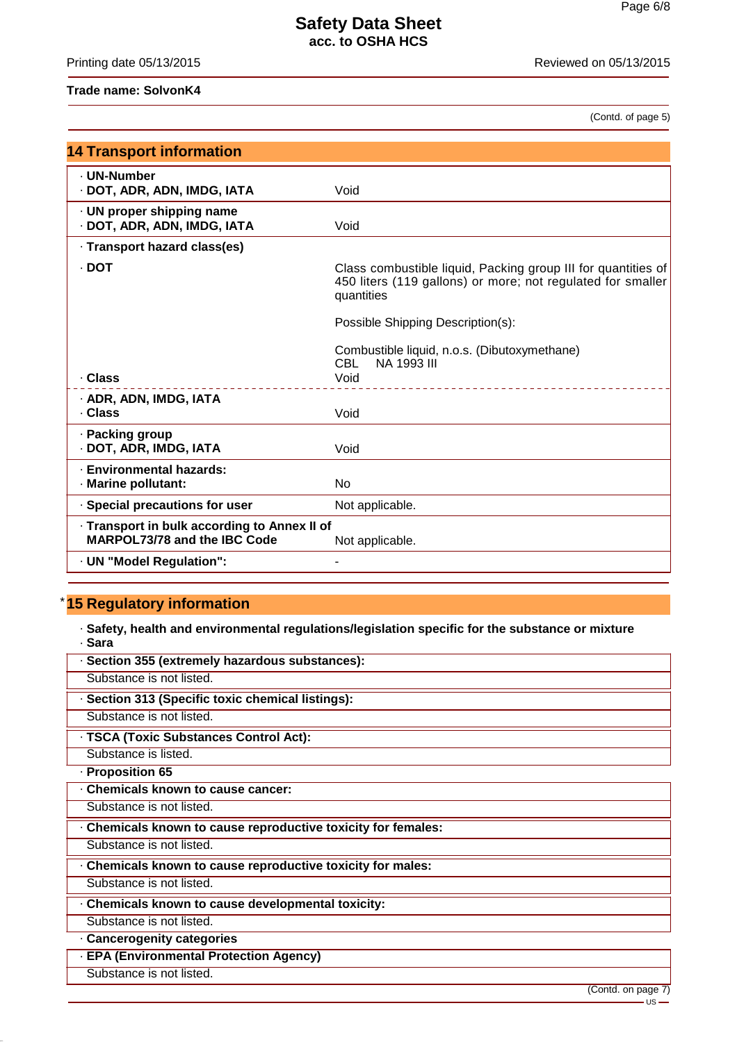Printing date 05/13/2015 **Reviewed on 05/13/2015** 

## **Trade name: SolvonK4**

(Contd. of page 5)

| <b>14 Transport information</b>                                              |                                                                                                                                            |  |  |
|------------------------------------------------------------------------------|--------------------------------------------------------------------------------------------------------------------------------------------|--|--|
| - UN-Number<br>· DOT, ADR, ADN, IMDG, IATA                                   | Void                                                                                                                                       |  |  |
| · UN proper shipping name<br>· DOT, ADR, ADN, IMDG, IATA                     | Void                                                                                                                                       |  |  |
| · Transport hazard class(es)                                                 |                                                                                                                                            |  |  |
| · DOT                                                                        | Class combustible liquid, Packing group III for quantities of<br>450 liters (119 gallons) or more; not regulated for smaller<br>quantities |  |  |
|                                                                              | Possible Shipping Description(s):                                                                                                          |  |  |
| · Class                                                                      | Combustible liquid, n.o.s. (Dibutoxymethane)<br>NA 1993 III<br>CBL -                                                                       |  |  |
|                                                                              | Void<br>_____________________________                                                                                                      |  |  |
| · ADR, ADN, IMDG, IATA<br>. Class                                            | Void                                                                                                                                       |  |  |
| · Packing group<br>· DOT, ADR, IMDG, IATA                                    | Void                                                                                                                                       |  |  |
| · Environmental hazards:<br>· Marine pollutant:                              | <b>No</b>                                                                                                                                  |  |  |
| · Special precautions for user                                               | Not applicable.                                                                                                                            |  |  |
| · Transport in bulk according to Annex II of<br>MARPOL73/78 and the IBC Code | Not applicable.                                                                                                                            |  |  |
| · UN "Model Regulation":                                                     |                                                                                                                                            |  |  |

# \* **15 Regulatory information**

· **Safety, health and environmental regulations/legislation specific for the substance or mixture** · **Sara**

| · Section 355 (extremely hazardous substances):               |
|---------------------------------------------------------------|
| Substance is not listed.                                      |
| · Section 313 (Specific toxic chemical listings):             |
| Substance is not listed.                                      |
| · TSCA (Toxic Substances Control Act):                        |
| Substance is listed.                                          |
| · Proposition 65                                              |
| Chemicals known to cause cancer:                              |
| Substance is not listed.                                      |
| . Chemicals known to cause reproductive toxicity for females: |
| Substance is not listed.                                      |
| . Chemicals known to cause reproductive toxicity for males:   |
| Substance is not listed.                                      |
| Chemicals known to cause developmental toxicity:              |
| Substance is not listed.                                      |
| Cancerogenity categories                                      |
| · EPA (Environmental Protection Agency)                       |
| Substance is not listed.                                      |
| (Contd. on page 7)                                            |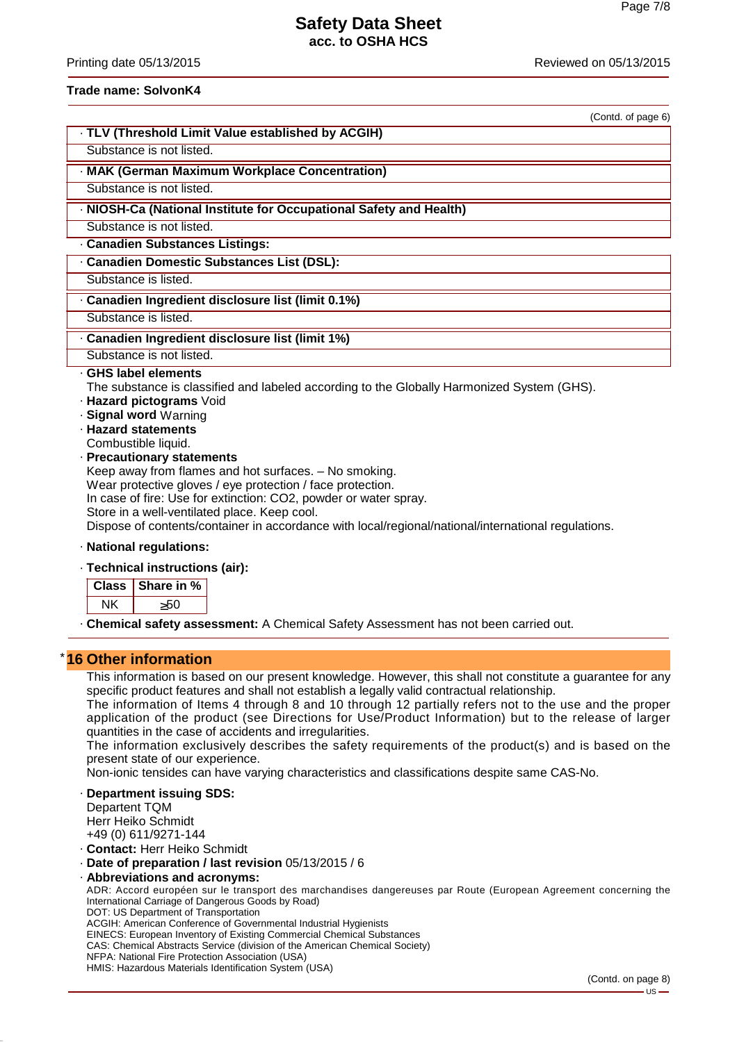Printing date 05/13/2015 Reviewed on 05/13/2015

#### **Trade name: SolvonK4**

| (Contd. of page 6)                                                                                                                                                                                                                                                                                                                                                                                                                                                                                                                                                                                  |
|-----------------------------------------------------------------------------------------------------------------------------------------------------------------------------------------------------------------------------------------------------------------------------------------------------------------------------------------------------------------------------------------------------------------------------------------------------------------------------------------------------------------------------------------------------------------------------------------------------|
| · TLV (Threshold Limit Value established by ACGIH)                                                                                                                                                                                                                                                                                                                                                                                                                                                                                                                                                  |
| Substance is not listed.                                                                                                                                                                                                                                                                                                                                                                                                                                                                                                                                                                            |
| · MAK (German Maximum Workplace Concentration)                                                                                                                                                                                                                                                                                                                                                                                                                                                                                                                                                      |
| Substance is not listed.                                                                                                                                                                                                                                                                                                                                                                                                                                                                                                                                                                            |
| · NIOSH-Ca (National Institute for Occupational Safety and Health)                                                                                                                                                                                                                                                                                                                                                                                                                                                                                                                                  |
| Substance is not listed.                                                                                                                                                                                                                                                                                                                                                                                                                                                                                                                                                                            |
| · Canadien Substances Listings:                                                                                                                                                                                                                                                                                                                                                                                                                                                                                                                                                                     |
| · Canadien Domestic Substances List (DSL):                                                                                                                                                                                                                                                                                                                                                                                                                                                                                                                                                          |
| Substance is listed.                                                                                                                                                                                                                                                                                                                                                                                                                                                                                                                                                                                |
| · Canadien Ingredient disclosure list (limit 0.1%)                                                                                                                                                                                                                                                                                                                                                                                                                                                                                                                                                  |
| Substance is listed.                                                                                                                                                                                                                                                                                                                                                                                                                                                                                                                                                                                |
| · Canadien Ingredient disclosure list (limit 1%)                                                                                                                                                                                                                                                                                                                                                                                                                                                                                                                                                    |
| Substance is not listed.                                                                                                                                                                                                                                                                                                                                                                                                                                                                                                                                                                            |
| GHS label elements<br>The substance is classified and labeled according to the Globally Harmonized System (GHS).<br>· Hazard pictograms Void<br>· Signal word Warning<br>· Hazard statements<br>Combustible liquid.<br>· Precautionary statements<br>Keep away from flames and hot surfaces. - No smoking.<br>Wear protective gloves / eye protection / face protection.<br>In case of fire: Use for extinction: CO2, powder or water spray.<br>Store in a well-ventilated place. Keep cool.<br>Dispose of contents/container in accordance with local/regional/national/international regulations. |
| · National regulations:                                                                                                                                                                                                                                                                                                                                                                                                                                                                                                                                                                             |
| Taahniaal inatuustiana (air):                                                                                                                                                                                                                                                                                                                                                                                                                                                                                                                                                                       |

#### · **Technical instructions (air):**

· **Chemical safety assessment:** A Chemical Safety Assessment has not been carried out.

#### **16 Other information**

This information is based on our present knowledge. However, this shall not constitute a guarantee for any specific product features and shall not establish a legally valid contractual relationship.

The information of Items 4 through 8 and 10 through 12 partially refers not to the use and the proper application of the product (see Directions for Use/Product Information) but to the release of larger quantities in the case of accidents and irregularities.

The information exclusively describes the safety requirements of the product(s) and is based on the present state of our experience.

Non-ionic tensides can have varying characteristics and classifications despite same CAS-No.

#### · **Department issuing SDS:**

Departent TQM Herr Heiko Schmidt +49 (0) 611/9271-144

· **Contact:** Herr Heiko Schmidt

· **Date of preparation / last revision** 05/13/2015 / 6

· **Abbreviations and acronyms:**

ADR: Accord européen sur le transport des marchandises dangereuses par Route (European Agreement concerning the International Carriage of Dangerous Goods by Road)

DOT: US Department of Transportation

ACGIH: American Conference of Governmental Industrial Hygienists

EINECS: European Inventory of Existing Commercial Chemical Substances CAS: Chemical Abstracts Service (division of the American Chemical Society)

NFPA: National Fire Protection Association (USA)

HMIS: Hazardous Materials Identification System (USA)